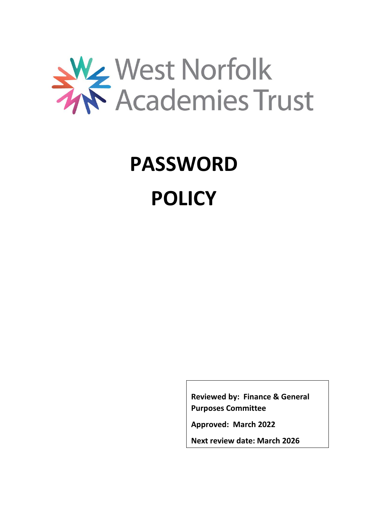

# **PASSWORD POLICY**

**Reviewed by: Finance & General Purposes Committee**

**Approved: March 2022**

**Next review date: March 2026**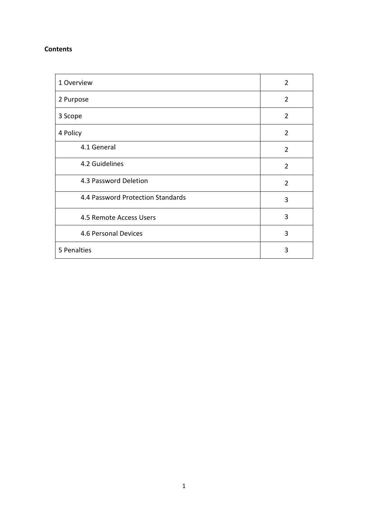#### **Contents**

| 1 Overview                        | $\overline{2}$ |
|-----------------------------------|----------------|
| 2 Purpose                         | $\overline{2}$ |
| 3 Scope                           | 2              |
| 4 Policy                          | $\overline{2}$ |
| 4.1 General                       | $\overline{2}$ |
| 4.2 Guidelines                    | $\overline{2}$ |
| 4.3 Password Deletion             | $\overline{2}$ |
| 4.4 Password Protection Standards | 3              |
| 4.5 Remote Access Users           | 3              |
| 4.6 Personal Devices              | 3              |
| 5 Penalties                       | 3              |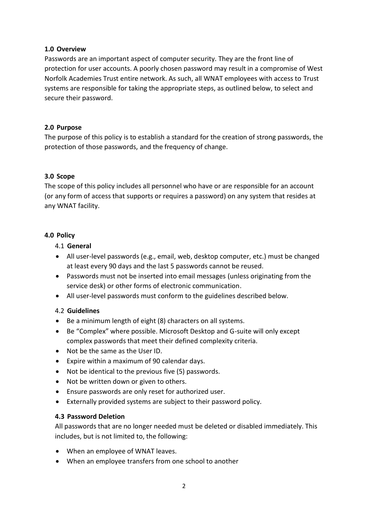## **1.0 Overview**

Passwords are an important aspect of computer security. They are the front line of protection for user accounts. A poorly chosen password may result in a compromise of West Norfolk Academies Trust entire network. As such, all WNAT employees with access to Trust systems are responsible for taking the appropriate steps, as outlined below, to select and secure their password.

## **2.0 Purpose**

The purpose of this policy is to establish a standard for the creation of strong passwords, the protection of those passwords, and the frequency of change.

# **3.0 Scope**

The scope of this policy includes all personnel who have or are responsible for an account (or any form of access that supports or requires a password) on any system that resides at any WNAT facility.

## **4.0 Policy**

- 4.1 **General**
- All user-level passwords (e.g., email, web, desktop computer, etc.) must be changed at least every 90 days and the last 5 passwords cannot be reused.
- Passwords must not be inserted into email messages (unless originating from the service desk) or other forms of electronic communication.
- All user-level passwords must conform to the guidelines described below.

# 4.2 **Guidelines**

- Be a minimum length of eight (8) characters on all systems.
- Be "Complex" where possible. Microsoft Desktop and G-suite will only except complex passwords that meet their defined complexity criteria.
- Not be the same as the User ID.
- Expire within a maximum of 90 calendar days.
- Not be identical to the previous five (5) passwords.
- Not be written down or given to others.
- Ensure passwords are only reset for authorized user.
- Externally provided systems are subject to their password policy.

# **4.3 Password Deletion**

All passwords that are no longer needed must be deleted or disabled immediately. This includes, but is not limited to, the following:

- When an employee of WNAT leaves.
- When an employee transfers from one school to another